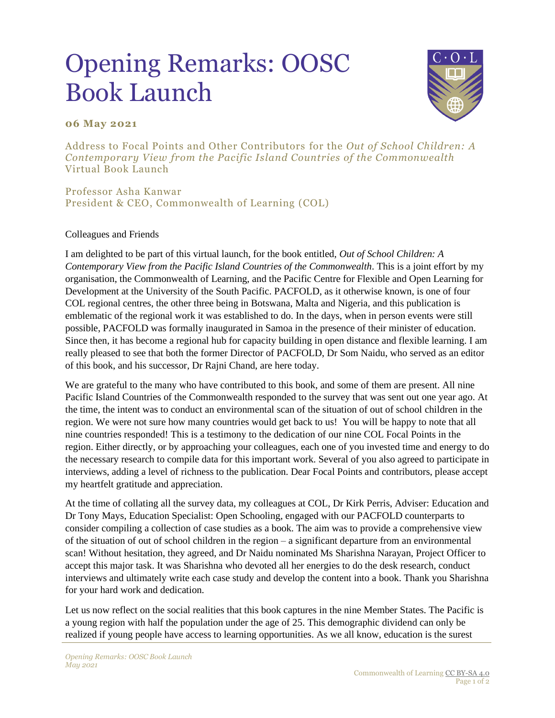## Opening Remarks: OOSC Book Launch



## **06 May 2021**

Address to Focal Points and Other Contributors for the *Out of School Children: A Contemporary View from the Pacific Island Countries of the Commonwealth*  Virtual Book Launch

Professor Asha Kanwar President & CEO, Commonwealth of Learning (COL)

## Colleagues and Friends

I am delighted to be part of this virtual launch, for the book entitled, *Out of School Children: A Contemporary View from the Pacific Island Countries of the Commonwealth*. This is a joint effort by my organisation, the Commonwealth of Learning, and the Pacific Centre for Flexible and Open Learning for Development at the University of the South Pacific. PACFOLD, as it otherwise known, is one of four COL regional centres, the other three being in Botswana, Malta and Nigeria, and this publication is emblematic of the regional work it was established to do. In the days, when in person events were still possible, PACFOLD was formally inaugurated in Samoa in the presence of their minister of education. Since then, it has become a regional hub for capacity building in open distance and flexible learning. I am really pleased to see that both the former Director of PACFOLD, Dr Som Naidu, who served as an editor of this book, and his successor, Dr Rajni Chand, are here today.

We are grateful to the many who have contributed to this book, and some of them are present. All nine Pacific Island Countries of the Commonwealth responded to the survey that was sent out one year ago. At the time, the intent was to conduct an environmental scan of the situation of out of school children in the region. We were not sure how many countries would get back to us! You will be happy to note that all nine countries responded! This is a testimony to the dedication of our nine COL Focal Points in the region. Either directly, or by approaching your colleagues, each one of you invested time and energy to do the necessary research to compile data for this important work. Several of you also agreed to participate in interviews, adding a level of richness to the publication. Dear Focal Points and contributors, please accept my heartfelt gratitude and appreciation.

At the time of collating all the survey data, my colleagues at COL, Dr Kirk Perris, Adviser: Education and Dr Tony Mays, Education Specialist: Open Schooling, engaged with our PACFOLD counterparts to consider compiling a collection of case studies as a book. The aim was to provide a comprehensive view of the situation of out of school children in the region – a significant departure from an environmental scan! Without hesitation, they agreed, and Dr Naidu nominated Ms Sharishna Narayan, Project Officer to accept this major task. It was Sharishna who devoted all her energies to do the desk research, conduct interviews and ultimately write each case study and develop the content into a book. Thank you Sharishna for your hard work and dedication.

Let us now reflect on the social realities that this book captures in the nine Member States. The Pacific is a young region with half the population under the age of 25. This demographic dividend can only be realized if young people have access to learning opportunities. As we all know, education is the surest